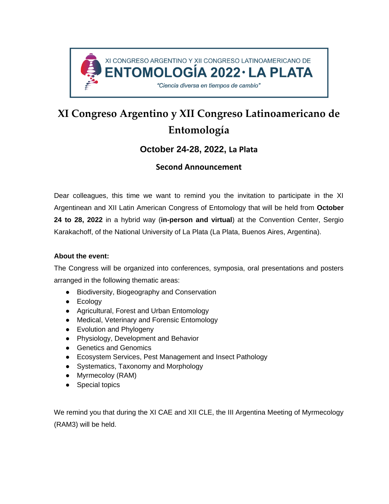

# **XI Congreso Argentino y XII Congreso Latinoamericano de Entomología**

# **October 24-28, 2022, La Plata**

# **Second Announcement**

Dear colleagues, this time we want to remind you the invitation to participate in the XI Argentinean and XII Latin American Congress of Entomology that will be held from **October 24 to 28, 2022** in a hybrid way (**in-person and virtual**) at the Convention Center, Sergio Karakachoff, of the National University of La Plata (La Plata, Buenos Aires, Argentina).

# **About the event:**

The Congress will be organized into conferences, symposia, oral presentations and posters arranged in the following thematic areas:

- Biodiversity, Biogeography and Conservation
- Ecology
- Agricultural, Forest and Urban Entomology
- Medical, Veterinary and Forensic Entomology
- Evolution and Phylogeny
- Physiology, Development and Behavior
- Genetics and Genomics
- Ecosystem Services, Pest Management and Insect Pathology
- Systematics, Taxonomy and Morphology
- Myrmecoloy (RAM)
- Special topics

We remind you that during the XI CAE and XII CLE, the III Argentina Meeting of Myrmecology (RAM3) will be held.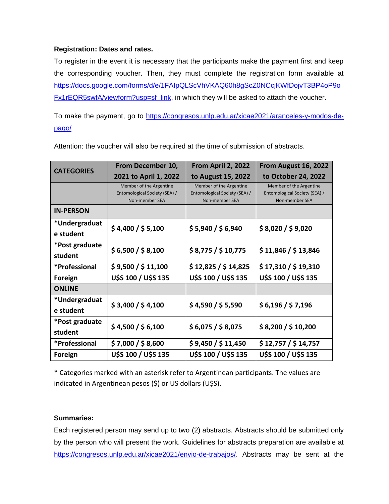## **Registration: Dates and rates.**

To register in the event it is necessary that the participants make the payment first and keep the corresponding voucher. Then, they must complete the registration form available at [https://docs.google.com/forms/d/e/1FAIpQLScVhVKAQ60h8gScZ0NCcjKWfDojvT3BP4oP9o](https://docs.google.com/forms/d/e/1FAIpQLScVhVKAQ60h8gScZ0NCcjKWfDojvT3BP4oP9oFx1rEQR5swfA/viewform?usp=sf_link) [Fx1rEQR5swfA/viewform?usp=sf\\_link,](https://docs.google.com/forms/d/e/1FAIpQLScVhVKAQ60h8gScZ0NCcjKWfDojvT3BP4oP9oFx1rEQR5swfA/viewform?usp=sf_link) in which they will be asked to attach the voucher.

To make the payment, go to [https://congresos.unlp.edu.ar/xicae2021/aranceles-y-modos-de](https://congresos.unlp.edu.ar/xicae2021/aranceles-y-modos-de-pago/)[pago/](https://congresos.unlp.edu.ar/xicae2021/aranceles-y-modos-de-pago/)

| <b>CATEGORIES</b>          | From December 10,<br>2021 to April 1, 2022                                 | From April 2, 2022<br>to August 15, 2022                                   | From August 16, 2022<br>to October 24, 2022                                |
|----------------------------|----------------------------------------------------------------------------|----------------------------------------------------------------------------|----------------------------------------------------------------------------|
|                            | Member of the Argentine<br>Entomological Society (SEA) /<br>Non-member SEA | Member of the Argentine<br>Entomological Society (SEA) /<br>Non-member SEA | Member of the Argentine<br>Entomological Society (SEA) /<br>Non-member SEA |
| <b>IN-PERSON</b>           |                                                                            |                                                                            |                                                                            |
| *Undergraduat<br>e student | \$4,400 / \$5,100                                                          | \$5,940 / \$6,940                                                          | \$8,020 / \$9,020                                                          |
| *Post graduate<br>student  | \$6,500 / \$8,100                                                          | \$8,775 / \$10,775                                                         | \$11,846 / \$13,846                                                        |
| *Professional              | \$9,500 / \$11,100                                                         | \$12,825 / \$14,825                                                        | \$17,310 / \$19,310                                                        |
| Foreign                    | U\$S 100 / U\$S 135                                                        | U\$S 100 / U\$S 135                                                        | U\$S 100 / U\$S 135                                                        |
| <b>ONLINE</b>              |                                                                            |                                                                            |                                                                            |
| *Undergraduat<br>e student | \$3,400 / \$4,100                                                          | \$4,590 / \$5,590                                                          | \$6,196 / \$7,196                                                          |
| *Post graduate<br>student  | \$4,500 / \$6,100                                                          | \$6,075 / \$8,075                                                          | \$8,200 / \$10,200                                                         |
| *Professional              | \$7,000 / \$8,600                                                          | \$9,450 / \$11,450                                                         | \$12,757 / \$14,757                                                        |
| Foreign                    | U\$S 100 / U\$S 135                                                        | U\$S 100 / U\$S 135                                                        | U\$S 100 / U\$S 135                                                        |

Attention: the voucher will also be required at the time of submission of abstracts.

\* Categories marked with an asterisk refer to Argentinean participants. The values are indicated in Argentinean pesos (\$) or US dollars (U\$S).

## **Summaries:**

Each registered person may send up to two (2) abstracts. Abstracts should be submitted only by the person who will present the work. Guidelines for abstracts preparation are available at [https://congresos.unlp.edu.ar/xicae2021/envio-de-trabajos/.](https://congresos.unlp.edu.ar/xicae2021/envio-de-trabajos/) Abstracts may be sent at the